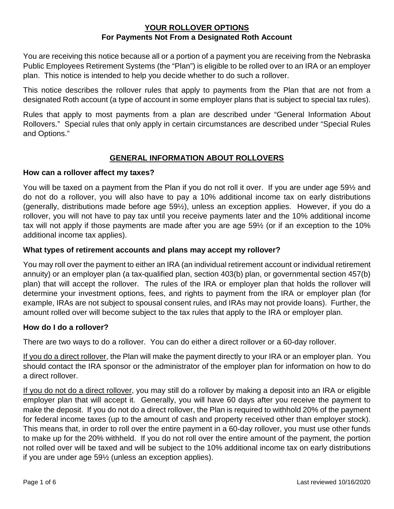You are receiving this notice because all or a portion of a payment you are receiving from the Nebraska Public Employees Retirement Systems (the "Plan") is eligible to be rolled over to an IRA or an employer plan. This notice is intended to help you decide whether to do such a rollover.

This notice describes the rollover rules that apply to payments from the Plan that are not from a designated Roth account (a type of account in some employer plans that is subject to special tax rules).

Rules that apply to most payments from a plan are described under "General Information About Rollovers." Special rules that only apply in certain circumstances are described under "Special Rules and Options."

# **GENERAL INFORMATION ABOUT ROLLOVERS**

## **How can a rollover affect my taxes?**

You will be taxed on a payment from the Plan if you do not roll it over. If you are under age 59½ and do not do a rollover, you will also have to pay a 10% additional income tax on early distributions (generally, distributions made before age 59½), unless an exception applies. However, if you do a rollover, you will not have to pay tax until you receive payments later and the 10% additional income tax will not apply if those payments are made after you are age 59½ (or if an exception to the 10% additional income tax applies).

## **What types of retirement accounts and plans may accept my rollover?**

You may roll over the payment to either an IRA (an individual retirement account or individual retirement annuity) or an employer plan (a tax-qualified plan, section 403(b) plan, or governmental section 457(b) plan) that will accept the rollover. The rules of the IRA or employer plan that holds the rollover will determine your investment options, fees, and rights to payment from the IRA or employer plan (for example, IRAs are not subject to spousal consent rules, and IRAs may not provide loans). Further, the amount rolled over will become subject to the tax rules that apply to the IRA or employer plan.

# **How do I do a rollover?**

There are two ways to do a rollover. You can do either a direct rollover or a 60-day rollover.

If you do a direct rollover, the Plan will make the payment directly to your IRA or an employer plan. You should contact the IRA sponsor or the administrator of the employer plan for information on how to do a direct rollover.

If you do not do a direct rollover, you may still do a rollover by making a deposit into an IRA or eligible employer plan that will accept it. Generally, you will have 60 days after you receive the payment to make the deposit. If you do not do a direct rollover, the Plan is required to withhold 20% of the payment for federal income taxes (up to the amount of cash and property received other than employer stock). This means that, in order to roll over the entire payment in a 60-day rollover, you must use other funds to make up for the 20% withheld. If you do not roll over the entire amount of the payment, the portion not rolled over will be taxed and will be subject to the 10% additional income tax on early distributions if you are under age 59½ (unless an exception applies).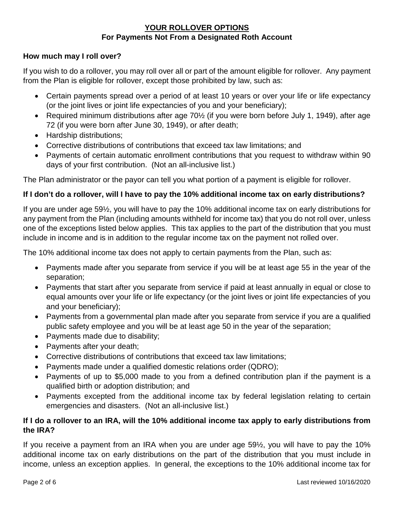## **How much may I roll over?**

If you wish to do a rollover, you may roll over all or part of the amount eligible for rollover. Any payment from the Plan is eligible for rollover, except those prohibited by law, such as:

- Certain payments spread over a period of at least 10 years or over your life or life expectancy (or the joint lives or joint life expectancies of you and your beneficiary);
- Required minimum distributions after age 70<sup>1</sup>/<sub>2</sub> (if you were born before July 1, 1949), after age 72 (if you were born after June 30, 1949), or after death;
- Hardship distributions;
- Corrective distributions of contributions that exceed tax law limitations; and
- Payments of certain automatic enrollment contributions that you request to withdraw within 90 days of your first contribution. (Not an all-inclusive list.)

The Plan administrator or the payor can tell you what portion of a payment is eligible for rollover.

# **If I don't do a rollover, will I have to pay the 10% additional income tax on early distributions?**

If you are under age 59½, you will have to pay the 10% additional income tax on early distributions for any payment from the Plan (including amounts withheld for income tax) that you do not roll over, unless one of the exceptions listed below applies. This tax applies to the part of the distribution that you must include in income and is in addition to the regular income tax on the payment not rolled over.

The 10% additional income tax does not apply to certain payments from the Plan, such as:

- Payments made after you separate from service if you will be at least age 55 in the year of the separation;
- Payments that start after you separate from service if paid at least annually in equal or close to equal amounts over your life or life expectancy (or the joint lives or joint life expectancies of you and your beneficiary);
- Payments from a governmental plan made after you separate from service if you are a qualified public safety employee and you will be at least age 50 in the year of the separation;
- Payments made due to disability;
- Payments after your death;
- Corrective distributions of contributions that exceed tax law limitations;
- Payments made under a qualified domestic relations order (QDRO);
- Payments of up to \$5,000 made to you from a defined contribution plan if the payment is a qualified birth or adoption distribution; and
- Payments excepted from the additional income tax by federal legislation relating to certain emergencies and disasters. (Not an all-inclusive list.)

## **If I do a rollover to an IRA, will the 10% additional income tax apply to early distributions from the IRA?**

If you receive a payment from an IRA when you are under age 59½, you will have to pay the 10% additional income tax on early distributions on the part of the distribution that you must include in income, unless an exception applies. In general, the exceptions to the 10% additional income tax for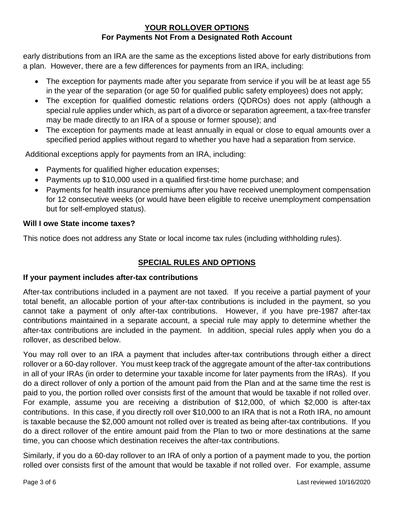early distributions from an IRA are the same as the exceptions listed above for early distributions from a plan. However, there are a few differences for payments from an IRA, including:

- The exception for payments made after you separate from service if you will be at least age 55 in the year of the separation (or age 50 for qualified public safety employees) does not apply;
- The exception for qualified domestic relations orders (QDROs) does not apply (although a special rule applies under which, as part of a divorce or separation agreement, a tax-free transfer may be made directly to an IRA of a spouse or former spouse); and
- The exception for payments made at least annually in equal or close to equal amounts over a specified period applies without regard to whether you have had a separation from service.

Additional exceptions apply for payments from an IRA, including:

- Payments for qualified higher education expenses;
- Payments up to \$10,000 used in a qualified first-time home purchase; and
- Payments for health insurance premiums after you have received unemployment compensation for 12 consecutive weeks (or would have been eligible to receive unemployment compensation but for self-employed status).

# **Will I owe State income taxes?**

This notice does not address any State or local income tax rules (including withholding rules).

# **SPECIAL RULES AND OPTIONS**

# **If your payment includes after-tax contributions**

After-tax contributions included in a payment are not taxed. If you receive a partial payment of your total benefit, an allocable portion of your after-tax contributions is included in the payment, so you cannot take a payment of only after-tax contributions. However, if you have pre-1987 after-tax contributions maintained in a separate account, a special rule may apply to determine whether the after-tax contributions are included in the payment. In addition, special rules apply when you do a rollover, as described below.

You may roll over to an IRA a payment that includes after-tax contributions through either a direct rollover or a 60-day rollover. You must keep track of the aggregate amount of the after-tax contributions in all of your IRAs (in order to determine your taxable income for later payments from the IRAs). If you do a direct rollover of only a portion of the amount paid from the Plan and at the same time the rest is paid to you, the portion rolled over consists first of the amount that would be taxable if not rolled over. For example, assume you are receiving a distribution of \$12,000, of which \$2,000 is after-tax contributions. In this case, if you directly roll over \$10,000 to an IRA that is not a Roth IRA, no amount is taxable because the \$2,000 amount not rolled over is treated as being after-tax contributions. If you do a direct rollover of the entire amount paid from the Plan to two or more destinations at the same time, you can choose which destination receives the after-tax contributions.

Similarly, if you do a 60-day rollover to an IRA of only a portion of a payment made to you, the portion rolled over consists first of the amount that would be taxable if not rolled over. For example, assume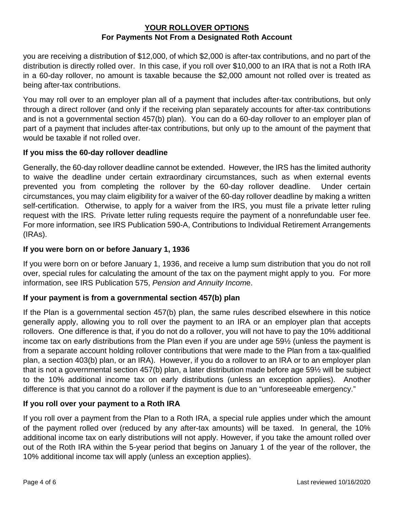you are receiving a distribution of \$12,000, of which \$2,000 is after-tax contributions, and no part of the distribution is directly rolled over. In this case, if you roll over \$10,000 to an IRA that is not a Roth IRA in a 60-day rollover, no amount is taxable because the \$2,000 amount not rolled over is treated as being after-tax contributions.

You may roll over to an employer plan all of a payment that includes after-tax contributions, but only through a direct rollover (and only if the receiving plan separately accounts for after-tax contributions and is not a governmental section 457(b) plan). You can do a 60-day rollover to an employer plan of part of a payment that includes after-tax contributions, but only up to the amount of the payment that would be taxable if not rolled over.

## **If you miss the 60-day rollover deadline**

Generally, the 60-day rollover deadline cannot be extended. However, the IRS has the limited authority to waive the deadline under certain extraordinary circumstances, such as when external events prevented you from completing the rollover by the 60-day rollover deadline. Under certain circumstances, you may claim eligibility for a waiver of the 60-day rollover deadline by making a written self-certification. Otherwise, to apply for a waiver from the IRS, you must file a private letter ruling request with the IRS. Private letter ruling requests require the payment of a nonrefundable user fee. For more information, see IRS Publication 590-A, Contributions to Individual Retirement Arrangements (IRAs).

## **If you were born on or before January 1, 1936**

If you were born on or before January 1, 1936, and receive a lump sum distribution that you do not roll over, special rules for calculating the amount of the tax on the payment might apply to you. For more information, see IRS Publication 575, *Pension and Annuity Incom*e.

#### **If your payment is from a governmental section 457(b) plan**

If the Plan is a governmental section 457(b) plan, the same rules described elsewhere in this notice generally apply, allowing you to roll over the payment to an IRA or an employer plan that accepts rollovers. One difference is that, if you do not do a rollover, you will not have to pay the 10% additional income tax on early distributions from the Plan even if you are under age 59½ (unless the payment is from a separate account holding rollover contributions that were made to the Plan from a tax-qualified plan, a section 403(b) plan, or an IRA). However, if you do a rollover to an IRA or to an employer plan that is not a governmental section 457(b) plan, a later distribution made before age 59½ will be subject to the 10% additional income tax on early distributions (unless an exception applies). Another difference is that you cannot do a rollover if the payment is due to an "unforeseeable emergency."

#### **If you roll over your payment to a Roth IRA**

If you roll over a payment from the Plan to a Roth IRA, a special rule applies under which the amount of the payment rolled over (reduced by any after-tax amounts) will be taxed. In general, the 10% additional income tax on early distributions will not apply. However, if you take the amount rolled over out of the Roth IRA within the 5-year period that begins on January 1 of the year of the rollover, the 10% additional income tax will apply (unless an exception applies).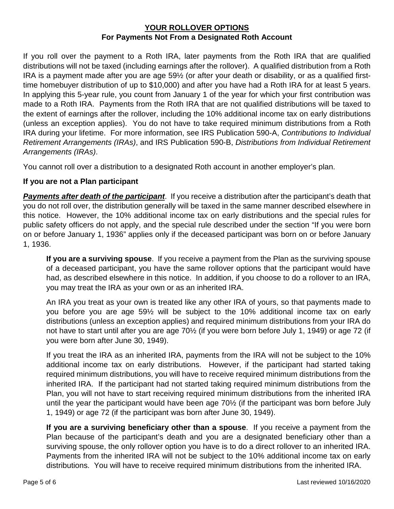If you roll over the payment to a Roth IRA, later payments from the Roth IRA that are qualified distributions will not be taxed (including earnings after the rollover). A qualified distribution from a Roth IRA is a payment made after you are age 59½ (or after your death or disability, or as a qualified firsttime homebuyer distribution of up to \$10,000) and after you have had a Roth IRA for at least 5 years. In applying this 5-year rule, you count from January 1 of the year for which your first contribution was made to a Roth IRA. Payments from the Roth IRA that are not qualified distributions will be taxed to the extent of earnings after the rollover, including the 10% additional income tax on early distributions (unless an exception applies). You do not have to take required minimum distributions from a Roth IRA during your lifetime. For more information, see IRS Publication 590-A, *Contributions to Individual Retirement Arrangements (IRAs)*, and IRS Publication 590-B, *Distributions from Individual Retirement Arrangements (IRAs)*.

You cannot roll over a distribution to a designated Roth account in another employer's plan.

# **If you are not a Plan participant**

*Payments after death of the participant*. If you receive a distribution after the participant's death that you do not roll over, the distribution generally will be taxed in the same manner described elsewhere in this notice. However, the 10% additional income tax on early distributions and the special rules for public safety officers do not apply, and the special rule described under the section "If you were born on or before January 1, 1936" applies only if the deceased participant was born on or before January 1, 1936.

**If you are a surviving spouse**. If you receive a payment from the Plan as the surviving spouse of a deceased participant, you have the same rollover options that the participant would have had, as described elsewhere in this notice. In addition, if you choose to do a rollover to an IRA, you may treat the IRA as your own or as an inherited IRA.

An IRA you treat as your own is treated like any other IRA of yours, so that payments made to you before you are age 59½ will be subject to the 10% additional income tax on early distributions (unless an exception applies) and required minimum distributions from your IRA do not have to start until after you are age 70½ (if you were born before July 1, 1949) or age 72 (if you were born after June 30, 1949).

If you treat the IRA as an inherited IRA, payments from the IRA will not be subject to the 10% additional income tax on early distributions. However, if the participant had started taking required minimum distributions, you will have to receive required minimum distributions from the inherited IRA. If the participant had not started taking required minimum distributions from the Plan, you will not have to start receiving required minimum distributions from the inherited IRA until the year the participant would have been age 70½ (if the participant was born before July 1, 1949) or age 72 (if the participant was born after June 30, 1949).

**If you are a surviving beneficiary other than a spouse**. If you receive a payment from the Plan because of the participant's death and you are a designated beneficiary other than a surviving spouse, the only rollover option you have is to do a direct rollover to an inherited IRA. Payments from the inherited IRA will not be subject to the 10% additional income tax on early distributions. You will have to receive required minimum distributions from the inherited IRA.